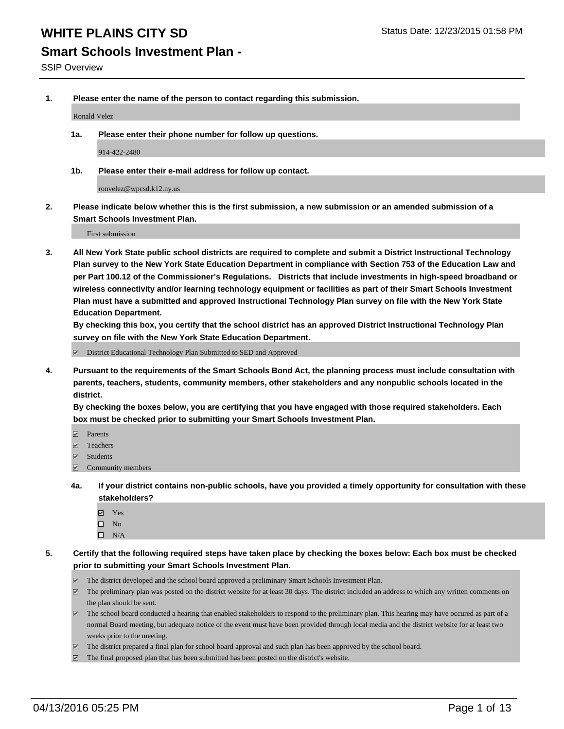#### **Smart Schools Investment Plan -**

SSIP Overview

**1. Please enter the name of the person to contact regarding this submission.**

Ronald Velez

**1a. Please enter their phone number for follow up questions.**

914-422-2480

**1b. Please enter their e-mail address for follow up contact.**

ronvelez@wpcsd.k12.ny.us

**2. Please indicate below whether this is the first submission, a new submission or an amended submission of a Smart Schools Investment Plan.**

First submission

**3. All New York State public school districts are required to complete and submit a District Instructional Technology Plan survey to the New York State Education Department in compliance with Section 753 of the Education Law and per Part 100.12 of the Commissioner's Regulations. Districts that include investments in high-speed broadband or wireless connectivity and/or learning technology equipment or facilities as part of their Smart Schools Investment Plan must have a submitted and approved Instructional Technology Plan survey on file with the New York State Education Department.** 

**By checking this box, you certify that the school district has an approved District Instructional Technology Plan survey on file with the New York State Education Department.**

■ District Educational Technology Plan Submitted to SED and Approved

**4. Pursuant to the requirements of the Smart Schools Bond Act, the planning process must include consultation with parents, teachers, students, community members, other stakeholders and any nonpublic schools located in the district.** 

**By checking the boxes below, you are certifying that you have engaged with those required stakeholders. Each box must be checked prior to submitting your Smart Schools Investment Plan.**

- **Parents**
- □ Teachers
- Students
- $\boxdot$  Community members
- **4a. If your district contains non-public schools, have you provided a timely opportunity for consultation with these stakeholders?**
	- Yes
	- $\square$  No
	- $\Box$  N/A
- **5. Certify that the following required steps have taken place by checking the boxes below: Each box must be checked prior to submitting your Smart Schools Investment Plan.**
	- The district developed and the school board approved a preliminary Smart Schools Investment Plan.
	- The preliminary plan was posted on the district website for at least 30 days. The district included an address to which any written comments on the plan should be sent.
	- $\Box$  The school board conducted a hearing that enabled stakeholders to respond to the preliminary plan. This hearing may have occured as part of a normal Board meeting, but adequate notice of the event must have been provided through local media and the district website for at least two weeks prior to the meeting.
	- The district prepared a final plan for school board approval and such plan has been approved by the school board.
	- The final proposed plan that has been submitted has been posted on the district's website.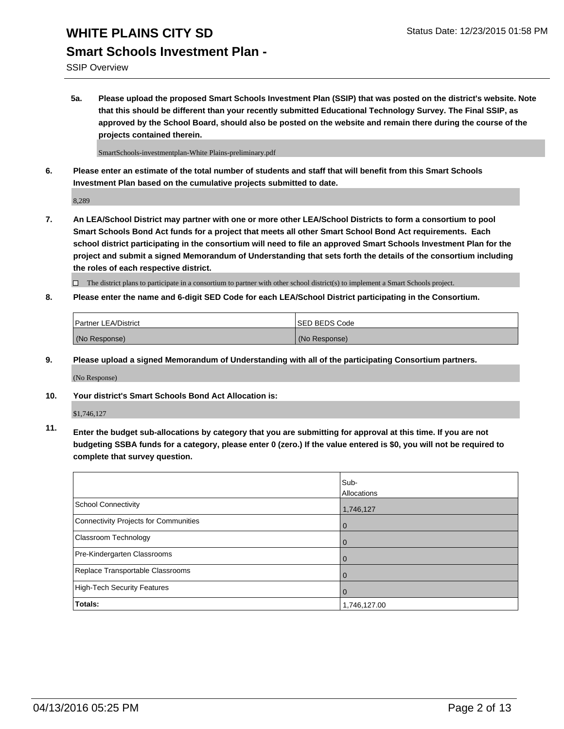SSIP Overview

**5a. Please upload the proposed Smart Schools Investment Plan (SSIP) that was posted on the district's website. Note that this should be different than your recently submitted Educational Technology Survey. The Final SSIP, as approved by the School Board, should also be posted on the website and remain there during the course of the projects contained therein.**

SmartSchools-investmentplan-White Plains-preliminary.pdf

**6. Please enter an estimate of the total number of students and staff that will benefit from this Smart Schools Investment Plan based on the cumulative projects submitted to date.**

8,289

**7. An LEA/School District may partner with one or more other LEA/School Districts to form a consortium to pool Smart Schools Bond Act funds for a project that meets all other Smart School Bond Act requirements. Each school district participating in the consortium will need to file an approved Smart Schools Investment Plan for the project and submit a signed Memorandum of Understanding that sets forth the details of the consortium including the roles of each respective district.**

 $\Box$  The district plans to participate in a consortium to partner with other school district(s) to implement a Smart Schools project.

**8. Please enter the name and 6-digit SED Code for each LEA/School District participating in the Consortium.**

| Partner LEA/District | <b>ISED BEDS Code</b> |
|----------------------|-----------------------|
| (No Response)        | (No Response)         |

**9. Please upload a signed Memorandum of Understanding with all of the participating Consortium partners.**

(No Response)

**10. Your district's Smart Schools Bond Act Allocation is:**

\$1,746,127

**11. Enter the budget sub-allocations by category that you are submitting for approval at this time. If you are not budgeting SSBA funds for a category, please enter 0 (zero.) If the value entered is \$0, you will not be required to complete that survey question.**

|                                       | Sub-<br>Allocations |
|---------------------------------------|---------------------|
| <b>School Connectivity</b>            | 1,746,127           |
| Connectivity Projects for Communities | $\Omega$            |
| Classroom Technology                  | 0                   |
| Pre-Kindergarten Classrooms           | $\Omega$            |
| Replace Transportable Classrooms      | $\Omega$            |
| High-Tech Security Features           | $\Omega$            |
| <b>Totals:</b>                        | 1,746,127.00        |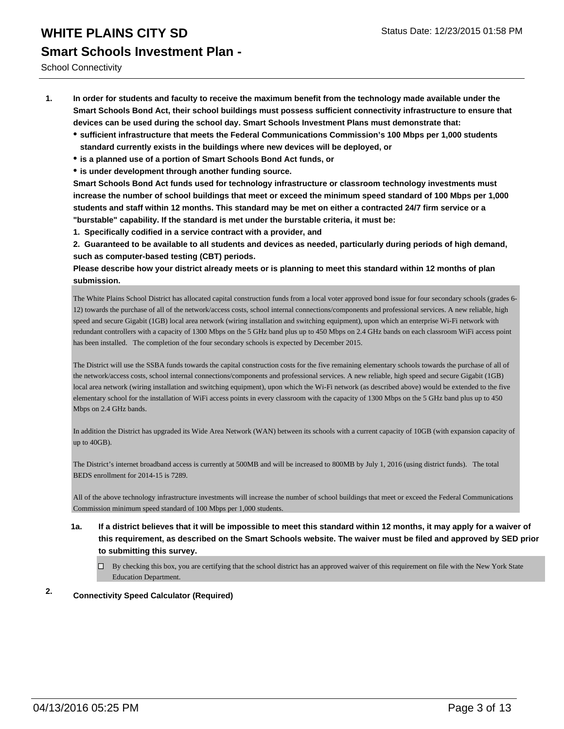School Connectivity

- **1. In order for students and faculty to receive the maximum benefit from the technology made available under the Smart Schools Bond Act, their school buildings must possess sufficient connectivity infrastructure to ensure that devices can be used during the school day. Smart Schools Investment Plans must demonstrate that:**
	- **sufficient infrastructure that meets the Federal Communications Commission's 100 Mbps per 1,000 students standard currently exists in the buildings where new devices will be deployed, or**
	- **is a planned use of a portion of Smart Schools Bond Act funds, or**
	- **is under development through another funding source.**

**Smart Schools Bond Act funds used for technology infrastructure or classroom technology investments must increase the number of school buildings that meet or exceed the minimum speed standard of 100 Mbps per 1,000 students and staff within 12 months. This standard may be met on either a contracted 24/7 firm service or a "burstable" capability. If the standard is met under the burstable criteria, it must be:**

**1. Specifically codified in a service contract with a provider, and**

**2. Guaranteed to be available to all students and devices as needed, particularly during periods of high demand, such as computer-based testing (CBT) periods.**

**Please describe how your district already meets or is planning to meet this standard within 12 months of plan submission.**

The White Plains School District has allocated capital construction funds from a local voter approved bond issue for four secondary schools (grades 6- 12) towards the purchase of all of the network/access costs, school internal connections/components and professional services. A new reliable, high speed and secure Gigabit (1GB) local area network (wiring installation and switching equipment), upon which an enterprise Wi-Fi network with redundant controllers with a capacity of 1300 Mbps on the 5 GHz band plus up to 450 Mbps on 2.4 GHz bands on each classroom WiFi access point has been installed. The completion of the four secondary schools is expected by December 2015.

The District will use the SSBA funds towards the capital construction costs for the five remaining elementary schools towards the purchase of all of the network/access costs, school internal connections/components and professional services. A new reliable, high speed and secure Gigabit (1GB) local area network (wiring installation and switching equipment), upon which the Wi-Fi network (as described above) would be extended to the five elementary school for the installation of WiFi access points in every classroom with the capacity of 1300 Mbps on the 5 GHz band plus up to 450 Mbps on 2.4 GHz bands.

In addition the District has upgraded its Wide Area Network (WAN) between its schools with a current capacity of 10GB (with expansion capacity of up to 40GB).

The District's internet broadband access is currently at 500MB and will be increased to 800MB by July 1, 2016 (using district funds). The total BEDS enrollment for 2014-15 is 7289.

All of the above technology infrastructure investments will increase the number of school buildings that meet or exceed the Federal Communications Commission minimum speed standard of 100 Mbps per 1,000 students.

- **1a. If a district believes that it will be impossible to meet this standard within 12 months, it may apply for a waiver of this requirement, as described on the Smart Schools website. The waiver must be filed and approved by SED prior to submitting this survey.**
	- By checking this box, you are certifying that the school district has an approved waiver of this requirement on file with the New York State Education Department.

#### **2. Connectivity Speed Calculator (Required)**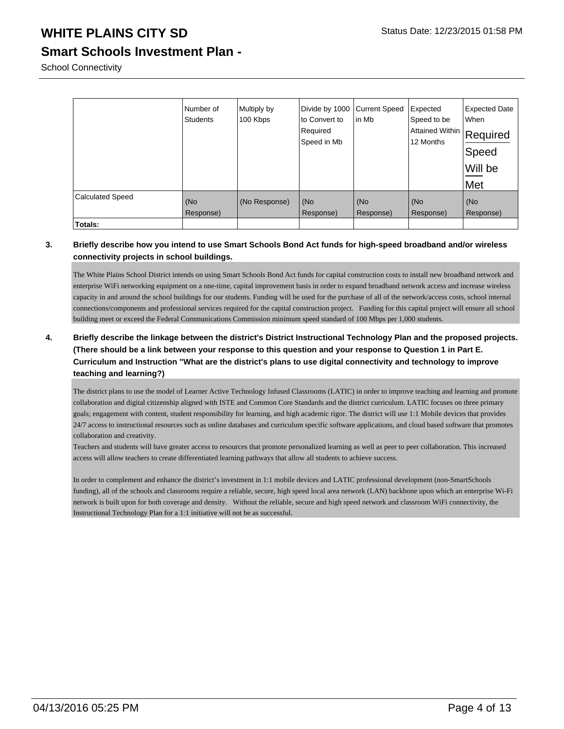**Smart Schools Investment Plan -**

School Connectivity

|                         | Number of<br><b>Students</b> | Multiply by<br>100 Kbps | Divide by 1000<br>to Convert to<br>Required<br>Speed in Mb | Current Speed<br>lin Mb | Expected<br>Speed to be<br> Attained Within   Required<br>12 Months | <b>Expected Date</b><br>When<br>Speed<br>Will be<br>Met |
|-------------------------|------------------------------|-------------------------|------------------------------------------------------------|-------------------------|---------------------------------------------------------------------|---------------------------------------------------------|
| <b>Calculated Speed</b> | (No<br>Response)             | (No Response)           | (No<br>Response)                                           | (No<br>Response)        | (No<br>Response)                                                    | (No<br>Response)                                        |
| Totals:                 |                              |                         |                                                            |                         |                                                                     |                                                         |

#### **3. Briefly describe how you intend to use Smart Schools Bond Act funds for high-speed broadband and/or wireless connectivity projects in school buildings.**

The White Plains School District intends on using Smart Schools Bond Act funds for capital construction costs to install new broadband network and enterprise WiFi networking equipment on a one-time, capital improvement basis in order to expand broadband network access and increase wireless capacity in and around the school buildings for our students. Funding will be used for the purchase of all of the network/access costs, school internal connections/components and professional services required for the capital construction project. Funding for this capital project will ensure all school building meet or exceed the Federal Communications Commission minimum speed standard of 100 Mbps per 1,000 students.

#### **4. Briefly describe the linkage between the district's District Instructional Technology Plan and the proposed projects. (There should be a link between your response to this question and your response to Question 1 in Part E. Curriculum and Instruction "What are the district's plans to use digital connectivity and technology to improve teaching and learning?)**

The district plans to use the model of Learner Active Technology Infused Classrooms (LATIC) in order to improve teaching and learning and promote collaboration and digital citizenship aligned with ISTE and Common Core Standards and the district curriculum. LATIC focuses on three primary goals; engagement with content, student responsibility for learning, and high academic rigor. The district will use 1:1 Mobile devices that provides 24/7 access to instructional resources such as online databases and curriculum specific software applications, and cloud based software that promotes collaboration and creativity.

Teachers and students will have greater access to resources that promote personalized learning as well as peer to peer collaboration. This increased access will allow teachers to create differentiated learning pathways that allow all students to achieve success.

In order to complement and enhance the district's investment in 1:1 mobile devices and LATIC professional development (non-SmartSchools funding), all of the schools and classrooms require a reliable, secure, high speed local area network (LAN) backbone upon which an enterprise Wi-Fi network is built upon for both coverage and density. Without the reliable, secure and high speed network and classroom WiFi connectivity, the Instructional Technology Plan for a 1:1 initiative will not be as successful.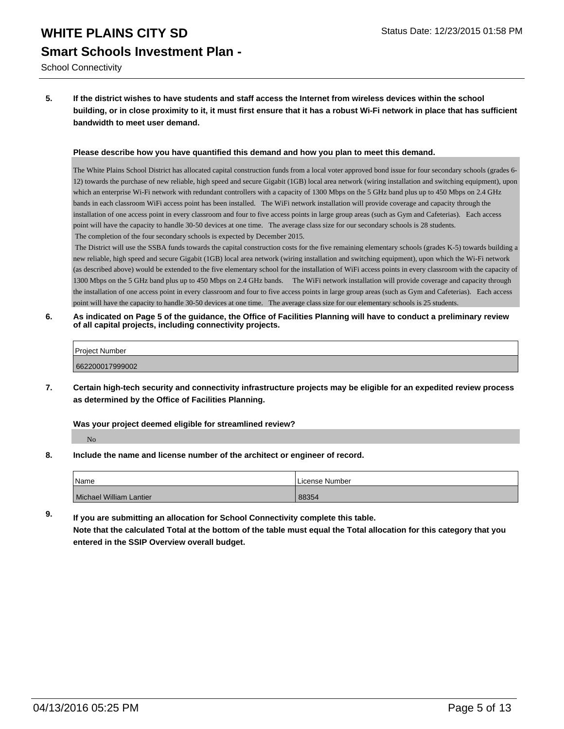School Connectivity

**5. If the district wishes to have students and staff access the Internet from wireless devices within the school building, or in close proximity to it, it must first ensure that it has a robust Wi-Fi network in place that has sufficient bandwidth to meet user demand.**

#### **Please describe how you have quantified this demand and how you plan to meet this demand.**

The White Plains School District has allocated capital construction funds from a local voter approved bond issue for four secondary schools (grades 6- 12) towards the purchase of new reliable, high speed and secure Gigabit (1GB) local area network (wiring installation and switching equipment), upon which an enterprise Wi-Fi network with redundant controllers with a capacity of 1300 Mbps on the 5 GHz band plus up to 450 Mbps on 2.4 GHz bands in each classroom WiFi access point has been installed. The WiFi network installation will provide coverage and capacity through the installation of one access point in every classroom and four to five access points in large group areas (such as Gym and Cafeterias). Each access point will have the capacity to handle 30-50 devices at one time. The average class size for our secondary schools is 28 students. The completion of the four secondary schools is expected by December 2015.

 The District will use the SSBA funds towards the capital construction costs for the five remaining elementary schools (grades K-5) towards building a new reliable, high speed and secure Gigabit (1GB) local area network (wiring installation and switching equipment), upon which the Wi-Fi network (as described above) would be extended to the five elementary school for the installation of WiFi access points in every classroom with the capacity of 1300 Mbps on the 5 GHz band plus up to 450 Mbps on 2.4 GHz bands. The WiFi network installation will provide coverage and capacity through the installation of one access point in every classroom and four to five access points in large group areas (such as Gym and Cafeterias). Each access point will have the capacity to handle 30-50 devices at one time. The average class size for our elementary schools is 25 students.

**6. As indicated on Page 5 of the guidance, the Office of Facilities Planning will have to conduct a preliminary review of all capital projects, including connectivity projects.**

| Project Number  |  |
|-----------------|--|
| 662200017999002 |  |

**7. Certain high-tech security and connectivity infrastructure projects may be eligible for an expedited review process as determined by the Office of Facilities Planning.**

**Was your project deemed eligible for streamlined review?**

No

**8. Include the name and license number of the architect or engineer of record.**

| Name                    | Number<br>∟icense |
|-------------------------|-------------------|
| Michael William Lantier | 88354             |

**9. If you are submitting an allocation for School Connectivity complete this table. Note that the calculated Total at the bottom of the table must equal the Total allocation for this category that you entered in the SSIP Overview overall budget.**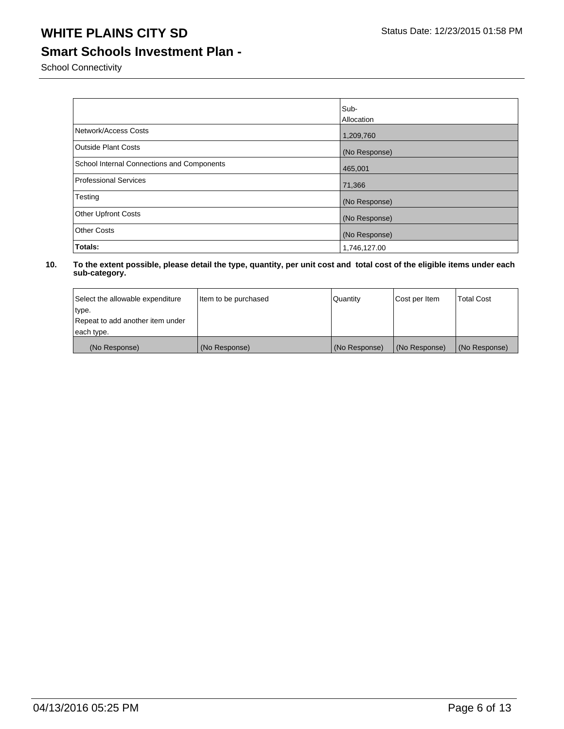### **Smart Schools Investment Plan -**

School Connectivity

|                                            | Sub-          |
|--------------------------------------------|---------------|
|                                            | Allocation    |
| Network/Access Costs                       | 1,209,760     |
| <b>Outside Plant Costs</b>                 | (No Response) |
| School Internal Connections and Components | 465,001       |
| <b>Professional Services</b>               | 71,366        |
| Testing                                    | (No Response) |
| <b>Other Upfront Costs</b>                 | (No Response) |
| <b>Other Costs</b>                         | (No Response) |
| Totals:                                    | 1,746,127.00  |

| Select the allowable expenditure | Item to be purchased | Quantity      | Cost per Item | <b>Total Cost</b> |
|----------------------------------|----------------------|---------------|---------------|-------------------|
| type.                            |                      |               |               |                   |
| Repeat to add another item under |                      |               |               |                   |
| each type.                       |                      |               |               |                   |
| (No Response)                    | (No Response)        | (No Response) | (No Response) | (No Response)     |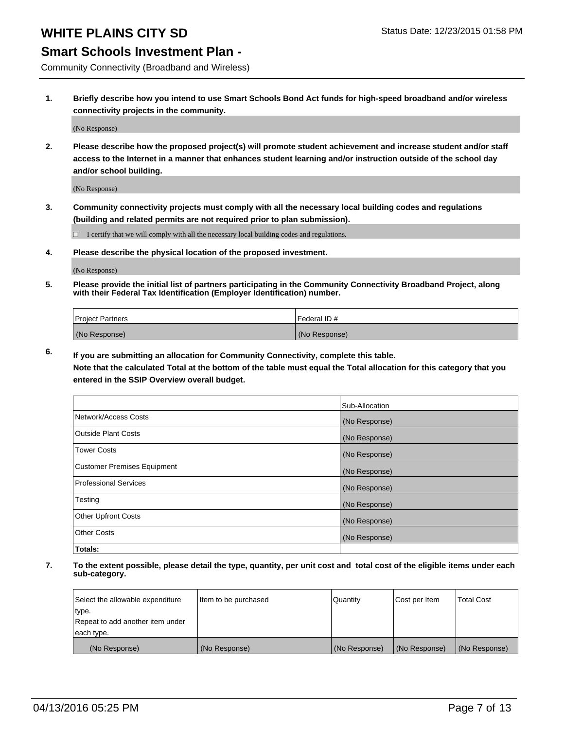#### **Smart Schools Investment Plan -**

Community Connectivity (Broadband and Wireless)

**1. Briefly describe how you intend to use Smart Schools Bond Act funds for high-speed broadband and/or wireless connectivity projects in the community.**

(No Response)

**2. Please describe how the proposed project(s) will promote student achievement and increase student and/or staff access to the Internet in a manner that enhances student learning and/or instruction outside of the school day and/or school building.**

(No Response)

**3. Community connectivity projects must comply with all the necessary local building codes and regulations (building and related permits are not required prior to plan submission).**

 $\Box$  I certify that we will comply with all the necessary local building codes and regulations.

**4. Please describe the physical location of the proposed investment.**

(No Response)

**5. Please provide the initial list of partners participating in the Community Connectivity Broadband Project, along with their Federal Tax Identification (Employer Identification) number.**

| <b>Project Partners</b> | I Federal ID # |
|-------------------------|----------------|
| (No Response)           | (No Response)  |

**6. If you are submitting an allocation for Community Connectivity, complete this table.**

**Note that the calculated Total at the bottom of the table must equal the Total allocation for this category that you entered in the SSIP Overview overall budget.**

|                                    | Sub-Allocation |
|------------------------------------|----------------|
| Network/Access Costs               | (No Response)  |
| Outside Plant Costs                | (No Response)  |
| <b>Tower Costs</b>                 | (No Response)  |
| <b>Customer Premises Equipment</b> | (No Response)  |
| Professional Services              | (No Response)  |
| Testing                            | (No Response)  |
| <b>Other Upfront Costs</b>         | (No Response)  |
| Other Costs                        | (No Response)  |
| Totals:                            |                |

| Select the allowable expenditure | Item to be purchased | Quantity      | Cost per Item | <b>Total Cost</b> |
|----------------------------------|----------------------|---------------|---------------|-------------------|
| type.                            |                      |               |               |                   |
| Repeat to add another item under |                      |               |               |                   |
| each type.                       |                      |               |               |                   |
| (No Response)                    | (No Response)        | (No Response) | (No Response) | (No Response)     |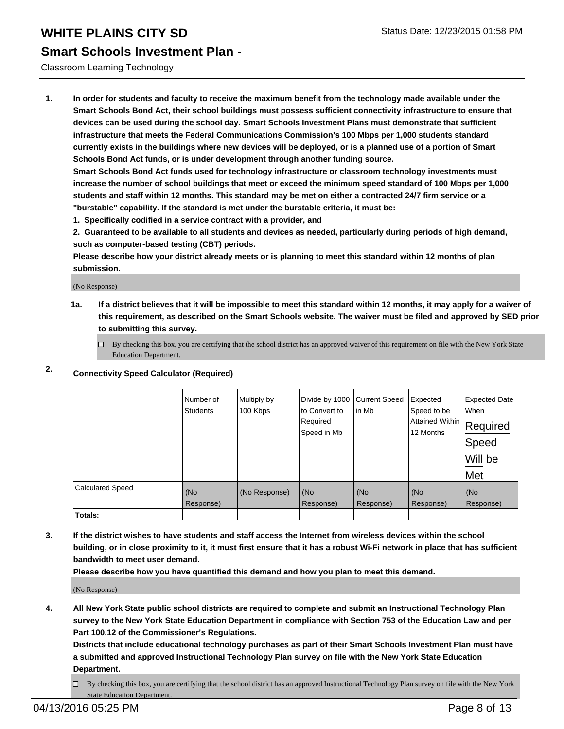#### Classroom Learning Technology

**1. In order for students and faculty to receive the maximum benefit from the technology made available under the Smart Schools Bond Act, their school buildings must possess sufficient connectivity infrastructure to ensure that devices can be used during the school day. Smart Schools Investment Plans must demonstrate that sufficient infrastructure that meets the Federal Communications Commission's 100 Mbps per 1,000 students standard currently exists in the buildings where new devices will be deployed, or is a planned use of a portion of Smart Schools Bond Act funds, or is under development through another funding source.**

**Smart Schools Bond Act funds used for technology infrastructure or classroom technology investments must increase the number of school buildings that meet or exceed the minimum speed standard of 100 Mbps per 1,000 students and staff within 12 months. This standard may be met on either a contracted 24/7 firm service or a "burstable" capability. If the standard is met under the burstable criteria, it must be:**

**1. Specifically codified in a service contract with a provider, and**

**2. Guaranteed to be available to all students and devices as needed, particularly during periods of high demand, such as computer-based testing (CBT) periods.**

**Please describe how your district already meets or is planning to meet this standard within 12 months of plan submission.**

(No Response)

**1a. If a district believes that it will be impossible to meet this standard within 12 months, it may apply for a waiver of this requirement, as described on the Smart Schools website. The waiver must be filed and approved by SED prior to submitting this survey.**

 $\Box$  By checking this box, you are certifying that the school district has an approved waiver of this requirement on file with the New York State Education Department.

#### **2. Connectivity Speed Calculator (Required)**

|                         | Number of<br><b>Students</b> | Multiply by<br>100 Kbps | Divide by 1000<br>to Convert to<br>Required<br>Speed in Mb | <b>Current Speed</b><br>lin Mb | Expected<br>Speed to be<br> Attained Within   Required<br>12 Months | <b>Expected Date</b><br>When<br>Speed<br>Will be<br>Met |
|-------------------------|------------------------------|-------------------------|------------------------------------------------------------|--------------------------------|---------------------------------------------------------------------|---------------------------------------------------------|
| <b>Calculated Speed</b> | (No<br>Response)             | (No Response)           | (No<br>Response)                                           | (No<br>Response)               | (No<br>Response)                                                    | (No<br>Response)                                        |
| <b>Totals:</b>          |                              |                         |                                                            |                                |                                                                     |                                                         |

**3. If the district wishes to have students and staff access the Internet from wireless devices within the school building, or in close proximity to it, it must first ensure that it has a robust Wi-Fi network in place that has sufficient bandwidth to meet user demand.**

**Please describe how you have quantified this demand and how you plan to meet this demand.**

(No Response)

**4. All New York State public school districts are required to complete and submit an Instructional Technology Plan survey to the New York State Education Department in compliance with Section 753 of the Education Law and per Part 100.12 of the Commissioner's Regulations.**

**Districts that include educational technology purchases as part of their Smart Schools Investment Plan must have a submitted and approved Instructional Technology Plan survey on file with the New York State Education Department.**

 $\Box$  By checking this box, you are certifying that the school district has an approved Instructional Technology Plan survey on file with the New York State Education Department.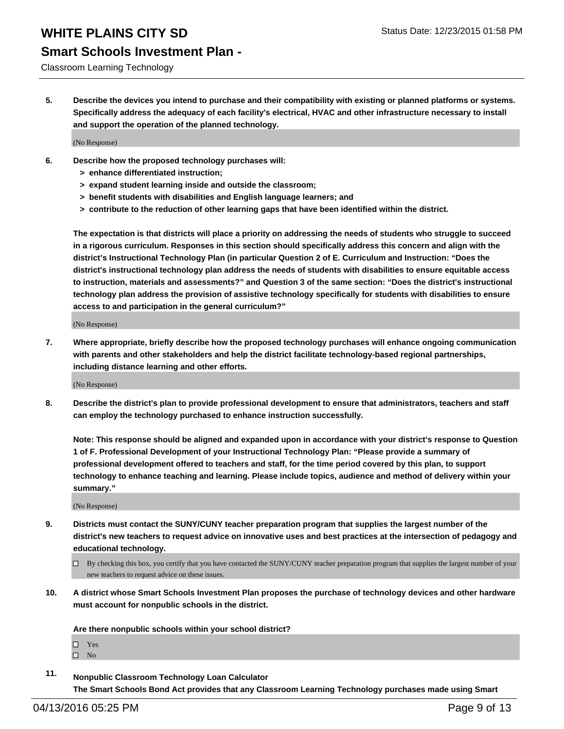#### Classroom Learning Technology

**5. Describe the devices you intend to purchase and their compatibility with existing or planned platforms or systems. Specifically address the adequacy of each facility's electrical, HVAC and other infrastructure necessary to install and support the operation of the planned technology.**

(No Response)

- **6. Describe how the proposed technology purchases will:**
	- **> enhance differentiated instruction;**
	- **> expand student learning inside and outside the classroom;**
	- **> benefit students with disabilities and English language learners; and**
	- **> contribute to the reduction of other learning gaps that have been identified within the district.**

**The expectation is that districts will place a priority on addressing the needs of students who struggle to succeed in a rigorous curriculum. Responses in this section should specifically address this concern and align with the district's Instructional Technology Plan (in particular Question 2 of E. Curriculum and Instruction: "Does the district's instructional technology plan address the needs of students with disabilities to ensure equitable access to instruction, materials and assessments?" and Question 3 of the same section: "Does the district's instructional technology plan address the provision of assistive technology specifically for students with disabilities to ensure access to and participation in the general curriculum?"**

(No Response)

**7. Where appropriate, briefly describe how the proposed technology purchases will enhance ongoing communication with parents and other stakeholders and help the district facilitate technology-based regional partnerships, including distance learning and other efforts.**

(No Response)

**8. Describe the district's plan to provide professional development to ensure that administrators, teachers and staff can employ the technology purchased to enhance instruction successfully.**

**Note: This response should be aligned and expanded upon in accordance with your district's response to Question 1 of F. Professional Development of your Instructional Technology Plan: "Please provide a summary of professional development offered to teachers and staff, for the time period covered by this plan, to support technology to enhance teaching and learning. Please include topics, audience and method of delivery within your summary."**

(No Response)

- **9. Districts must contact the SUNY/CUNY teacher preparation program that supplies the largest number of the district's new teachers to request advice on innovative uses and best practices at the intersection of pedagogy and educational technology.**
	- $\Box$  By checking this box, you certify that you have contacted the SUNY/CUNY teacher preparation program that supplies the largest number of your new teachers to request advice on these issues.
- **10. A district whose Smart Schools Investment Plan proposes the purchase of technology devices and other hardware must account for nonpublic schools in the district.**

**Are there nonpublic schools within your school district?**

□ Yes  $\square$  No

**11. Nonpublic Classroom Technology Loan Calculator The Smart Schools Bond Act provides that any Classroom Learning Technology purchases made using Smart**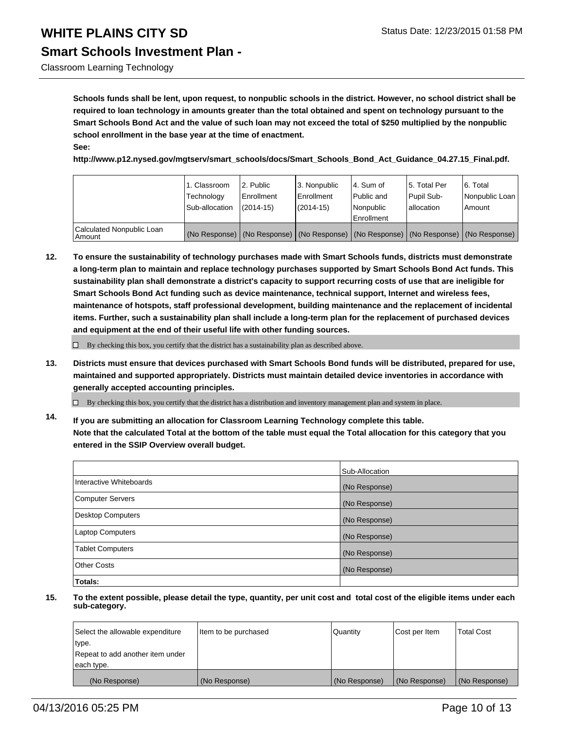Classroom Learning Technology

**Schools funds shall be lent, upon request, to nonpublic schools in the district. However, no school district shall be required to loan technology in amounts greater than the total obtained and spent on technology pursuant to the Smart Schools Bond Act and the value of such loan may not exceed the total of \$250 multiplied by the nonpublic school enrollment in the base year at the time of enactment. See:**

**http://www.p12.nysed.gov/mgtserv/smart\_schools/docs/Smart\_Schools\_Bond\_Act\_Guidance\_04.27.15\_Final.pdf.**

|                                     | 1. Classroom<br>Technology<br>Sub-allocation | 2. Public<br>Enrollment<br>$(2014 - 15)$ | 3. Nonpublic<br><b>Enrollment</b><br>(2014-15)                                                | l 4. Sum of<br>Public and<br>Nonpublic<br>Enrollment | 15. Total Per<br>Pupil Sub-<br>lallocation | 6. Total<br>Nonpublic Loan<br>Amount |
|-------------------------------------|----------------------------------------------|------------------------------------------|-----------------------------------------------------------------------------------------------|------------------------------------------------------|--------------------------------------------|--------------------------------------|
| Calculated Nonpublic Loan<br>Amount |                                              |                                          | (No Response)   (No Response)   (No Response)   (No Response)   (No Response)   (No Response) |                                                      |                                            |                                      |

**12. To ensure the sustainability of technology purchases made with Smart Schools funds, districts must demonstrate a long-term plan to maintain and replace technology purchases supported by Smart Schools Bond Act funds. This sustainability plan shall demonstrate a district's capacity to support recurring costs of use that are ineligible for Smart Schools Bond Act funding such as device maintenance, technical support, Internet and wireless fees, maintenance of hotspots, staff professional development, building maintenance and the replacement of incidental items. Further, such a sustainability plan shall include a long-term plan for the replacement of purchased devices and equipment at the end of their useful life with other funding sources.**

 $\Box$  By checking this box, you certify that the district has a sustainability plan as described above.

**13. Districts must ensure that devices purchased with Smart Schools Bond funds will be distributed, prepared for use, maintained and supported appropriately. Districts must maintain detailed device inventories in accordance with generally accepted accounting principles.**

 $\Box$  By checking this box, you certify that the district has a distribution and inventory management plan and system in place.

**14. If you are submitting an allocation for Classroom Learning Technology complete this table. Note that the calculated Total at the bottom of the table must equal the Total allocation for this category that you entered in the SSIP Overview overall budget.**

|                          | Sub-Allocation |
|--------------------------|----------------|
| Interactive Whiteboards  | (No Response)  |
| <b>Computer Servers</b>  | (No Response)  |
| <b>Desktop Computers</b> | (No Response)  |
| Laptop Computers         | (No Response)  |
| <b>Tablet Computers</b>  | (No Response)  |
| Other Costs              | (No Response)  |
| Totals:                  |                |

| Select the allowable expenditure | litem to be purchased | Quantity      | Cost per Item | <b>Total Cost</b> |
|----------------------------------|-----------------------|---------------|---------------|-------------------|
| type.                            |                       |               |               |                   |
| Repeat to add another item under |                       |               |               |                   |
| each type.                       |                       |               |               |                   |
| (No Response)                    | (No Response)         | (No Response) | (No Response) | (No Response)     |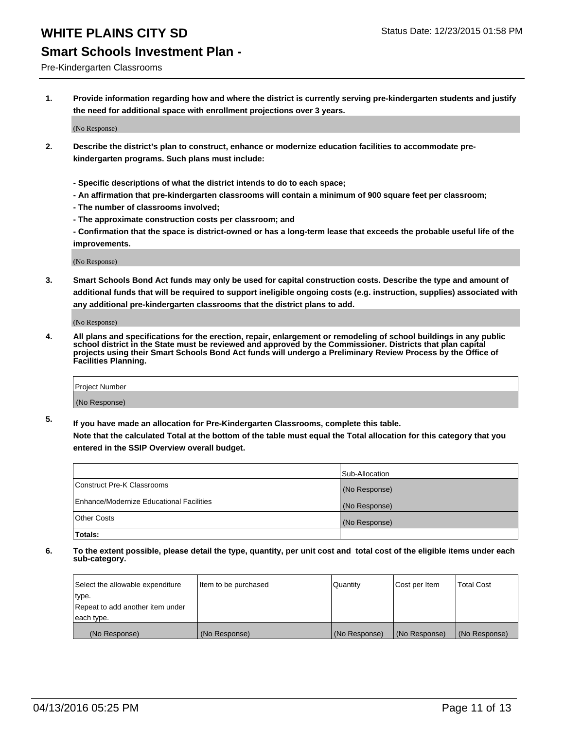#### Pre-Kindergarten Classrooms

**1. Provide information regarding how and where the district is currently serving pre-kindergarten students and justify the need for additional space with enrollment projections over 3 years.**

(No Response)

- **2. Describe the district's plan to construct, enhance or modernize education facilities to accommodate prekindergarten programs. Such plans must include:**
	- **Specific descriptions of what the district intends to do to each space;**
	- **An affirmation that pre-kindergarten classrooms will contain a minimum of 900 square feet per classroom;**
	- **The number of classrooms involved;**
	- **The approximate construction costs per classroom; and**
	- **Confirmation that the space is district-owned or has a long-term lease that exceeds the probable useful life of the improvements.**

(No Response)

**3. Smart Schools Bond Act funds may only be used for capital construction costs. Describe the type and amount of additional funds that will be required to support ineligible ongoing costs (e.g. instruction, supplies) associated with any additional pre-kindergarten classrooms that the district plans to add.**

(No Response)

**4. All plans and specifications for the erection, repair, enlargement or remodeling of school buildings in any public school district in the State must be reviewed and approved by the Commissioner. Districts that plan capital projects using their Smart Schools Bond Act funds will undergo a Preliminary Review Process by the Office of Facilities Planning.**

| Project Number |  |
|----------------|--|
| (No Response)  |  |

**5. If you have made an allocation for Pre-Kindergarten Classrooms, complete this table. Note that the calculated Total at the bottom of the table must equal the Total allocation for this category that you**

**entered in the SSIP Overview overall budget.**

|                                          | Sub-Allocation |
|------------------------------------------|----------------|
| Construct Pre-K Classrooms               | (No Response)  |
| Enhance/Modernize Educational Facilities | (No Response)  |
| Other Costs                              | (No Response)  |
| Totals:                                  |                |

| Select the allowable expenditure | Item to be purchased | Quantity      | Cost per Item | <b>Total Cost</b> |
|----------------------------------|----------------------|---------------|---------------|-------------------|
| type.                            |                      |               |               |                   |
| Repeat to add another item under |                      |               |               |                   |
| each type.                       |                      |               |               |                   |
| (No Response)                    | (No Response)        | (No Response) | (No Response) | (No Response)     |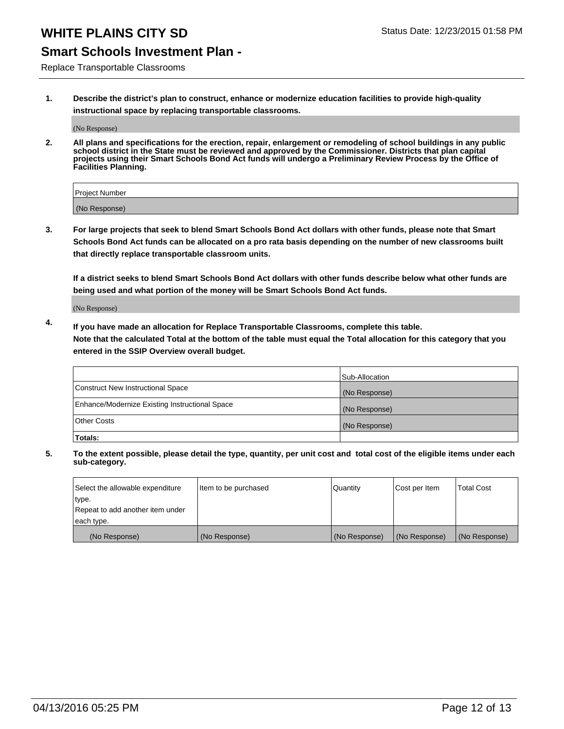#### **Smart Schools Investment Plan -**

Replace Transportable Classrooms

**1. Describe the district's plan to construct, enhance or modernize education facilities to provide high-quality instructional space by replacing transportable classrooms.**

(No Response)

**2. All plans and specifications for the erection, repair, enlargement or remodeling of school buildings in any public school district in the State must be reviewed and approved by the Commissioner. Districts that plan capital projects using their Smart Schools Bond Act funds will undergo a Preliminary Review Process by the Office of Facilities Planning.**

| Project Number |  |
|----------------|--|
| (No Response)  |  |

**3. For large projects that seek to blend Smart Schools Bond Act dollars with other funds, please note that Smart Schools Bond Act funds can be allocated on a pro rata basis depending on the number of new classrooms built that directly replace transportable classroom units.**

**If a district seeks to blend Smart Schools Bond Act dollars with other funds describe below what other funds are being used and what portion of the money will be Smart Schools Bond Act funds.**

(No Response)

**4. If you have made an allocation for Replace Transportable Classrooms, complete this table. Note that the calculated Total at the bottom of the table must equal the Total allocation for this category that you entered in the SSIP Overview overall budget.**

|                                                | Sub-Allocation |
|------------------------------------------------|----------------|
| Construct New Instructional Space              | (No Response)  |
| Enhance/Modernize Existing Instructional Space | (No Response)  |
| <b>Other Costs</b>                             | (No Response)  |
| Totals:                                        |                |

| Select the allowable expenditure | Item to be purchased | Quantity      | Cost per Item | <b>Total Cost</b> |
|----------------------------------|----------------------|---------------|---------------|-------------------|
| type.                            |                      |               |               |                   |
| Repeat to add another item under |                      |               |               |                   |
| each type.                       |                      |               |               |                   |
| (No Response)                    | (No Response)        | (No Response) | (No Response) | (No Response)     |